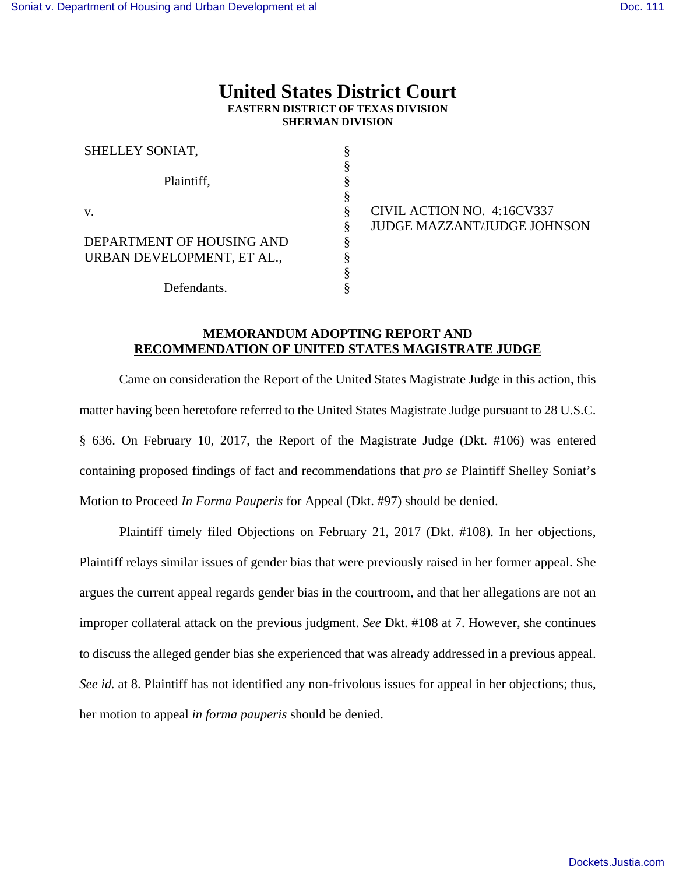## **United States District Court EASTERN DISTRICT OF TEXAS DIVISION SHERMAN DIVISION**

| SHELLEY SONIAT,            |  |
|----------------------------|--|
|                            |  |
| Plaintiff,                 |  |
| V.                         |  |
|                            |  |
| DEPARTMENT OF HOUSING AND  |  |
| URBAN DEVELOPMENT, ET AL., |  |
|                            |  |
| Defendants.                |  |

CIVIL ACTION NO. 4:16CV337 JUDGE MAZZANT/JUDGE JOHNSON

## **MEMORANDUM ADOPTING REPORT AND RECOMMENDATION OF UNITED STATES MAGISTRATE JUDGE**

Came on consideration the Report of the United States Magistrate Judge in this action, this matter having been heretofore referred to the United States Magistrate Judge pursuant to 28 U.S.C. § 636. On February 10, 2017, the Report of the Magistrate Judge (Dkt. #106) was entered containing proposed findings of fact and recommendations that *pro se* Plaintiff Shelley Soniat's Motion to Proceed *In Forma Pauperis* for Appeal (Dkt. #97) should be denied.

Plaintiff timely filed Objections on February 21, 2017 (Dkt. #108). In her objections, Plaintiff relays similar issues of gender bias that were previously raised in her former appeal. She argues the current appeal regards gender bias in the courtroom, and that her allegations are not an improper collateral attack on the previous judgment. *See* Dkt. #108 at 7. However, she continues to discuss the alleged gender bias she experienced that was already addressed in a previous appeal. *See id.* at 8. Plaintiff has not identified any non-frivolous issues for appeal in her objections; thus, her motion to appeal *in forma pauperis* should be denied.